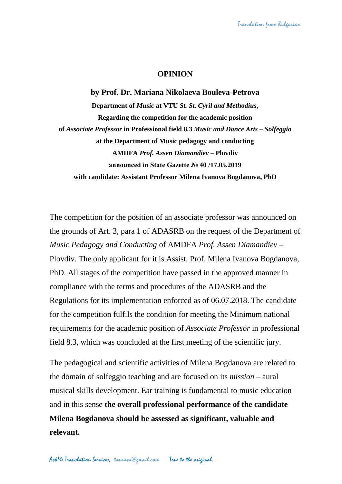## **OPINION**

**by Prof. Dr. Mariana Nikolaeva Bouleva-Petrova Department of** *Music* **at VTU** *St. St. Cyril and Methodius***, Regarding the competition for the academic position of** *Associate Professor* **in Professional field 8.3** *Music and Dance Arts* **–** *Solfeggio* **at the Department of Music pedagogy and conducting AMDFA** *Prof. Assen Diamandiev* **– Plovdiv announced in State Gazette № 40 /17.05.2019 with candidate: Assistant Professor Milena Ivanova Bogdanova, PhD**

The competition for the position of an associate professor was announced on the grounds of Art. 3, para 1 of ADASRB on the request of the Department of *Music Pedagogy and Conducting* of AMDFA *Prof. Assen Diamandiev* – Plovdiv. The only applicant for it is Assist. Prof. Milena Ivanova Bogdanova, PhD. All stages of the competition have passed in the approved manner in compliance with the terms and procedures of the ADASRB and the Regulations for its implementation enforced as of 06.07.2018. The candidate for the competition fulfils the condition for meeting the Minimum national requirements for the academic position of *Associate Professor* in professional field 8.3, which was concluded at the first meeting of the scientific jury.

The pedagogical and scientific activities of Milena Bogdanova are related to the domain of solfeggio teaching and are focused on its *mission* – aural musical skills development. Ear training is fundamental to music education and in this sense **the overall professional performance of the candidate Milena Bogdanova should be assessed as significant, valuable and relevant.**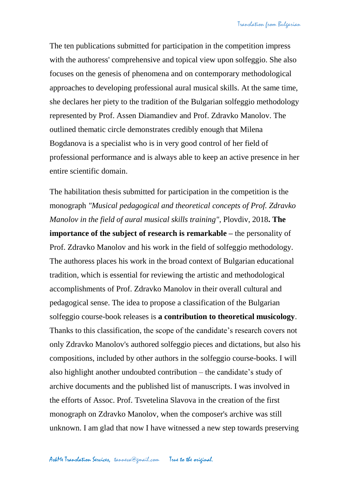The ten publications submitted for participation in the competition impress with the authoress' comprehensive and topical view upon solfeggio. She also focuses on the genesis of phenomena and on contemporary methodological approaches to developing professional aural musical skills. At the same time, she declares her piety to the tradition of the Bulgarian solfeggio methodology represented by Prof. Assen Diamandiev and Prof. Zdravko Manolov. The outlined thematic circle demonstrates credibly enough that Milena Bogdanova is a specialist who is in very good control of her field of professional performance and is always able to keep an active presence in her entire scientific domain.

The habilitation thesis submitted for participation in the competition is the monograph *"Musical pedagogical and theoretical concepts of Prof. Zdravko Manolov in the field of aural musical skills training"*, Plovdiv, 2018**. The importance of the subject of research is remarkable –** the personality of Prof. Zdravko Manolov and his work in the field of solfeggio methodology. The authoress places his work in the broad context of Bulgarian educational tradition, which is essential for reviewing the artistic and methodological accomplishments of Prof. Zdravko Manolov in their overall cultural and pedagogical sense. The idea to propose a classification of the Bulgarian solfeggio course-book releases is **a contribution to theoretical musicology**. Thanks to this classification, the scope of the candidate's research covers not only Zdravko Manolov's authored solfeggio pieces and dictations, but also his compositions, included by other authors in the solfeggio course-books. I will also highlight another undoubted contribution – the candidate's study of archive documents and the published list of manuscripts. I was involved in the efforts of Assoc. Prof. Tsvetelina Slavova in the creation of the first monograph on Zdravko Manolov, when the composer's archive was still unknown. I am glad that now I have witnessed a new step towards preserving